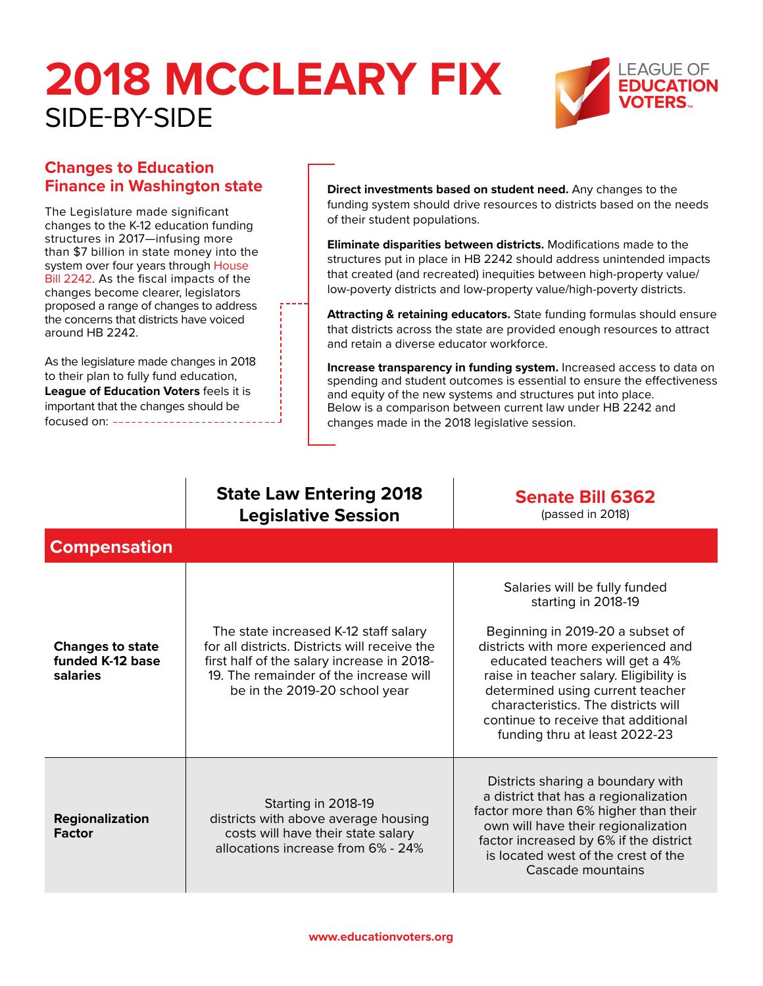

### **Changes to Education**

The Legislature made significant changes to the K-12 education funding structures in 2017—infusing more than \$7 billion in state money into the system over four years through House [Bill 2242.](http://apps2.leg.wa.gov/billsummary?BillNumber=2242&Year=2017) As the fiscal impacts of the changes become clearer, legislators proposed a range of changes to address the concerns that districts have voiced around HB 2242.

As the legislature made changes in 2018 to their plan to fully fund education, **League of Education Voters** feels it is important that the changes should be focused on:

**Finance in Washington state Direct investments based on student need.** Any changes to the funding system should drive resources to districts based on the needs of their student populations.

> **Eliminate disparities between districts.** Modifications made to the structures put in place in HB 2242 should address unintended impacts that created (and recreated) inequities between high-property value/ low-poverty districts and low-property value/high-poverty districts.

**Attracting & retaining educators.** State funding formulas should ensure that districts across the state are provided enough resources to attract and retain a diverse educator workforce.

**Increase transparency in funding system.** Increased access to data on spending and student outcomes is essential to ensure the effectiveness and equity of the new systems and structures put into place. Below is a comparison between current law under HB 2242 and changes made in the 2018 legislative session.

#### **State Law Entering 2018 Legislative Session**

**[Senate Bill 6362](http://apps2.leg.wa.gov/billsummary?BillNumber=6362&Year=2017)** (passed in 2018)

| <b>Compensation</b>                                     |                                                                                                                                                                                                                 |                                                                                                                                                                                                                                                                                                                                                                  |
|---------------------------------------------------------|-----------------------------------------------------------------------------------------------------------------------------------------------------------------------------------------------------------------|------------------------------------------------------------------------------------------------------------------------------------------------------------------------------------------------------------------------------------------------------------------------------------------------------------------------------------------------------------------|
| <b>Changes to state</b><br>funded K-12 base<br>salaries | The state increased K-12 staff salary<br>for all districts. Districts will receive the<br>first half of the salary increase in 2018-<br>19. The remainder of the increase will<br>be in the 2019-20 school year | Salaries will be fully funded<br>starting in 2018-19<br>Beginning in 2019-20 a subset of<br>districts with more experienced and<br>educated teachers will get a 4%<br>raise in teacher salary. Eligibility is<br>determined using current teacher<br>characteristics. The districts will<br>continue to receive that additional<br>funding thru at least 2022-23 |
| Regionalization<br><b>Factor</b>                        | Starting in 2018-19<br>districts with above average housing<br>costs will have their state salary<br>allocations increase from 6% - 24%                                                                         | Districts sharing a boundary with<br>a district that has a regionalization<br>factor more than 6% higher than their<br>own will have their regionalization<br>factor increased by 6% if the district<br>is located west of the crest of the<br>Cascade mountains                                                                                                 |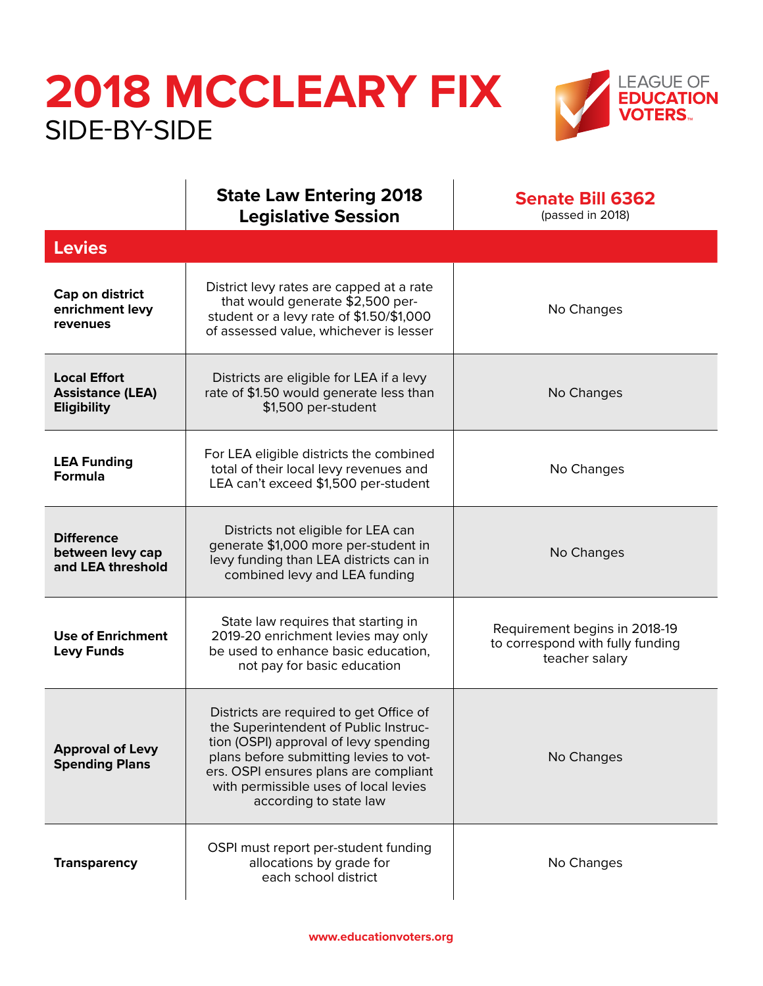

|                                                                      | <b>State Law Entering 2018</b><br><b>Legislative Session</b>                                                                                                                                                                                                                    | <b>Senate Bill 6362</b><br>(passed in 2018)                                         |
|----------------------------------------------------------------------|---------------------------------------------------------------------------------------------------------------------------------------------------------------------------------------------------------------------------------------------------------------------------------|-------------------------------------------------------------------------------------|
| <b>Levies</b>                                                        |                                                                                                                                                                                                                                                                                 |                                                                                     |
| Cap on district<br>enrichment levy<br>revenues                       | District levy rates are capped at a rate<br>that would generate \$2,500 per-<br>student or a levy rate of \$1.50/\$1,000<br>of assessed value, whichever is lesser                                                                                                              | No Changes                                                                          |
| <b>Local Effort</b><br><b>Assistance (LEA)</b><br><b>Eligibility</b> | Districts are eligible for LEA if a levy<br>rate of \$1.50 would generate less than<br>\$1,500 per-student                                                                                                                                                                      | No Changes                                                                          |
| <b>LEA Funding</b><br><b>Formula</b>                                 | For LEA eligible districts the combined<br>total of their local levy revenues and<br>LEA can't exceed \$1,500 per-student                                                                                                                                                       | No Changes                                                                          |
| <b>Difference</b><br>between levy cap<br>and LEA threshold           | Districts not eligible for LEA can<br>generate \$1,000 more per-student in<br>levy funding than LEA districts can in<br>combined levy and LEA funding                                                                                                                           | No Changes                                                                          |
| <b>Use of Enrichment</b><br><b>Levy Funds</b>                        | State law requires that starting in<br>2019-20 enrichment levies may only<br>be used to enhance basic education,<br>not pay for basic education                                                                                                                                 | Requirement begins in 2018-19<br>to correspond with fully funding<br>teacher salary |
| <b>Approval of Levy</b><br><b>Spending Plans</b>                     | Districts are required to get Office of<br>the Superintendent of Public Instruc-<br>tion (OSPI) approval of levy spending<br>plans before submitting levies to vot-<br>ers. OSPI ensures plans are compliant<br>with permissible uses of local levies<br>according to state law | No Changes                                                                          |
| <b>Transparency</b>                                                  | OSPI must report per-student funding<br>allocations by grade for<br>each school district                                                                                                                                                                                        | No Changes                                                                          |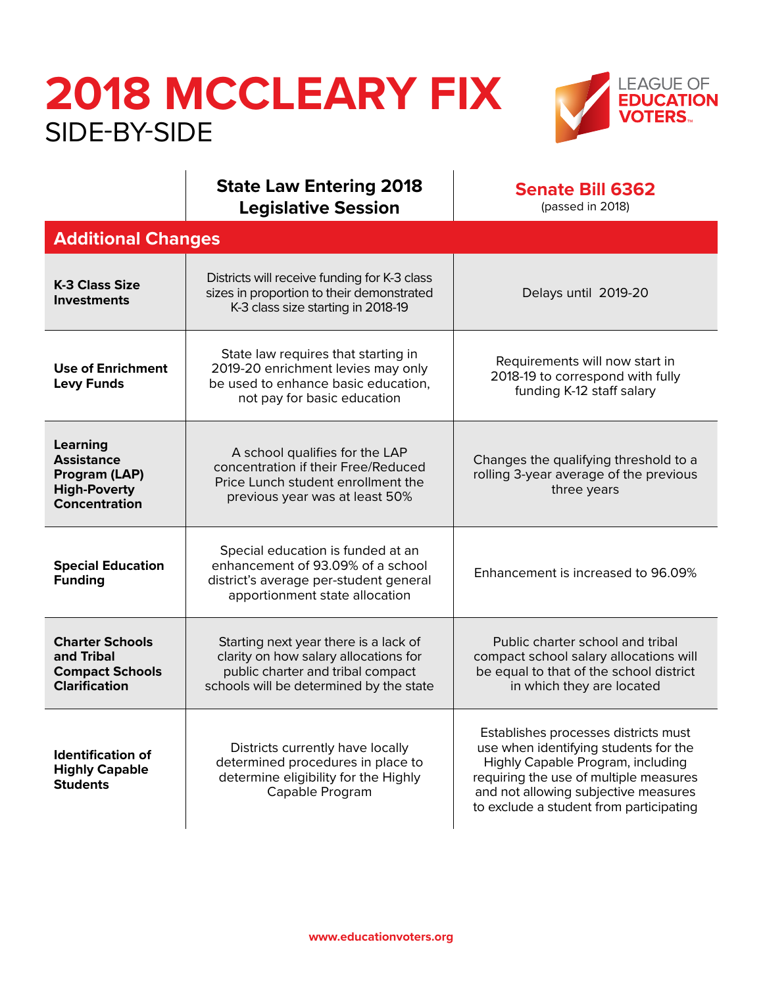

#### **State Law Entering 2018 Legislative Session**

**[Senate Bill 6362](http://apps2.leg.wa.gov/billsummary?BillNumber=6362&Year=2017)** (passed in 2018)

| <b>Additional Changes</b>                                                              |                                                                                                                                                                |                                                                                                                                                                                                                                                 |  |  |
|----------------------------------------------------------------------------------------|----------------------------------------------------------------------------------------------------------------------------------------------------------------|-------------------------------------------------------------------------------------------------------------------------------------------------------------------------------------------------------------------------------------------------|--|--|
| <b>K-3 Class Size</b><br><b>Investments</b>                                            | Districts will receive funding for K-3 class<br>sizes in proportion to their demonstrated<br>K-3 class size starting in 2018-19                                | Delays until 2019-20                                                                                                                                                                                                                            |  |  |
| <b>Use of Enrichment</b><br><b>Levy Funds</b>                                          | State law requires that starting in<br>2019-20 enrichment levies may only<br>be used to enhance basic education,<br>not pay for basic education                | Requirements will now start in<br>2018-19 to correspond with fully<br>funding K-12 staff salary                                                                                                                                                 |  |  |
| Learning<br><b>Assistance</b><br>Program (LAP)<br><b>High-Poverty</b><br>Concentration | A school qualifies for the LAP<br>concentration if their Free/Reduced<br>Price Lunch student enrollment the<br>previous year was at least 50%                  | Changes the qualifying threshold to a<br>rolling 3-year average of the previous<br>three years                                                                                                                                                  |  |  |
| <b>Special Education</b><br><b>Funding</b>                                             | Special education is funded at an<br>enhancement of 93.09% of a school<br>district's average per-student general<br>apportionment state allocation             | Enhancement is increased to 96.09%                                                                                                                                                                                                              |  |  |
| <b>Charter Schools</b><br>and Tribal<br><b>Compact Schools</b><br><b>Clarification</b> | Starting next year there is a lack of<br>clarity on how salary allocations for<br>public charter and tribal compact<br>schools will be determined by the state | Public charter school and tribal<br>compact school salary allocations will<br>be equal to that of the school district<br>in which they are located                                                                                              |  |  |
| <b>Identification of</b><br><b>Highly Capable</b><br><b>Students</b>                   | Districts currently have locally<br>determined procedures in place to<br>determine eligibility for the Highly<br>Capable Program                               | Establishes processes districts must<br>use when identifying students for the<br>Highly Capable Program, including<br>requiring the use of multiple measures<br>and not allowing subjective measures<br>to exclude a student from participating |  |  |